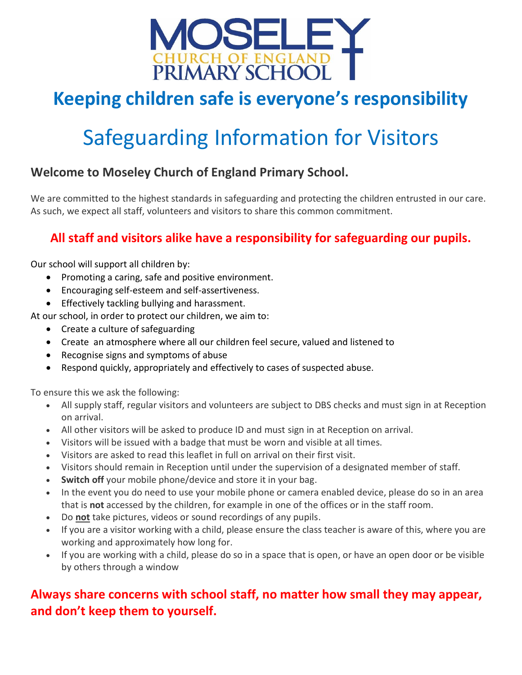

## **Keeping children safe is everyone's responsibility**

# Safeguarding Information for Visitors

#### **Welcome to Moseley Church of England Primary School.**

We are committed to the highest standards in safeguarding and protecting the children entrusted in our care. As such, we expect all staff, volunteers and visitors to share this common commitment.

#### **All staff and visitors alike have a responsibility for safeguarding our pupils.**

Our school will support all children by:

- Promoting a caring, safe and positive environment.
- Encouraging self-esteem and self-assertiveness.
- **•** Effectively tackling bullying and harassment.

At our school, in order to protect our children, we aim to:

- Create a culture of safeguarding
- Create an atmosphere where all our children feel secure, valued and listened to
- Recognise signs and symptoms of abuse
- Respond quickly, appropriately and effectively to cases of suspected abuse.

To ensure this we ask the following:

- All supply staff, regular visitors and volunteers are subject to DBS checks and must sign in at Reception on arrival.
- All other visitors will be asked to produce ID and must sign in at Reception on arrival.
- Visitors will be issued with a badge that must be worn and visible at all times.
- Visitors are asked to read this leaflet in full on arrival on their first visit.
- Visitors should remain in Reception until under the supervision of a designated member of staff.
- **Switch off** your mobile phone/device and store it in your bag.
- In the event you do need to use your mobile phone or camera enabled device, please do so in an area that is **not** accessed by the children, for example in one of the offices or in the staff room.
- Do **not** take pictures, videos or sound recordings of any pupils.
- If you are a visitor working with a child, please ensure the class teacher is aware of this, where you are working and approximately how long for.
- If you are working with a child, please do so in a space that is open, or have an open door or be visible by others through a window

#### **Always share concerns with school staff, no matter how small they may appear, and don't keep them to yourself.**